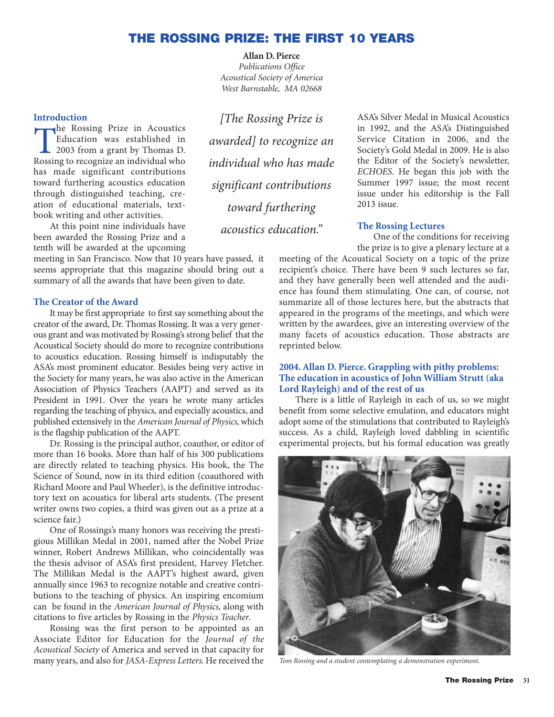# **THE ROSSING PRIZE: THE FIRST 10 YEARS**

#### **Allan D. Pierce**

*Publications Office Acoustical Society of America West Barnstable, MA 02668*

#### **Introduction**

The Rossing Prize in Acoustics<br>
Education was established in<br>
2003 from a grant by Thomas D.<br>
Rossing to recognize an individual who Education was established in Rossing to recognize an individual who has made significant contributions toward furthering acoustics education through distinguished teaching, creation of educational materials, textbook writing and other activities.

At this point nine individuals have been awarded the Rossing Prize and a tenth will be awarded at the upcoming

meeting in San Francisco. Now that 10 years have passed, it seems appropriate that this magazine should bring out a summary of all the awards that have been given to date.

#### **The Creator of the Award**

It may be first appropriate to first say something about the creator of the award, Dr. Thomas Rossing. It was a very generous grant and was motivated by Rossing's strong belief that the Acoustical Society should do more to recognize contributions to acoustics education. Rossing himself is indisputably the ASA's most prominent educator. Besides being very active in the Society for many years, he was also active in the American Association of Physics Teachers (AAPT) and served as its President in 1991. Over the years he wrote many articles regarding the teaching of physics, and especially acoustics, and published extensively in the *American Journal of Physics*, which is the flagship publication of the AAPT.

Dr. Rossing is the principal author, coauthor, or editor of more than 16 books. More than half of his 300 publications are directly related to teaching physics. His book, the The Science of Sound, now in its third edition (coauthored with Richard Moore and Paul Wheeler), is the definitive introductory text on acoustics for liberal arts students. (The present writer owns two copies, a third was given out as a prize at a science fair.)

One of Rossings's many honors was receiving the prestigious Millikan Medal in 2001, named after the Nobel Prize winner, Robert Andrews Millikan, who coincidentally was the thesis advisor of ASA's first president, Harvey Fletcher. The Millikan Medal is the AAPT's highest award, given annually since 1963 to recognize notable and creative contributions to the teaching of physics. An inspiring encomium can be found in the *American Journal of Physics*, along with citations to five articles by Rossing in the *Physics Teacher*.

Rossing was the first person to be appointed as an Associate Editor for Education for the *Journal of the Acoustical Society* of America and served in that capacity for many years, and also for *JASA-Express Letters*. He received the

*[The Rossing Prize is awarded] to recognize an individual who has made significant contributions toward furthering acoustics education."*

ASA's Silver Medal in Musical Acoustics in 1992, and the ASA's Distinguished Service Citation in 2006, and the Society's Gold Medal in 2009. He is also the Editor of the Society's newsletter, *ECHOES*. He began this job with the Summer 1997 issue; the most recent issue under his editorship is the Fall 2013 issue.

#### **The Rossing Lectures**

One of the conditions for receiving the prize is to give a plenary lecture at a

meeting of the Acoustical Society on a topic of the prize recipient's choice. There have been 9 such lectures so far, and they have generally been well attended and the audience has found them stimulating. One can, of course, not summarize all of those lectures here, but the abstracts that appeared in the programs of the meetings, and which were written by the awardees, give an interesting overview of the many facets of acoustics education. Those abstracts are reprinted below.

## **2004. Allan D. Pierce. Grappling with pithy problems: The education in acoustics of John William Strutt (aka Lord Rayleigh) and of the rest of us**

There is a little of Rayleigh in each of us, so we might benefit from some selective emulation, and educators might adopt some of the stimulations that contributed to Rayleigh's success. As a child, Rayleigh loved dabbling in scientific experimental projects, but his formal education was greatly



*Tom Rossing and a student contemplating a demonstration experiment.*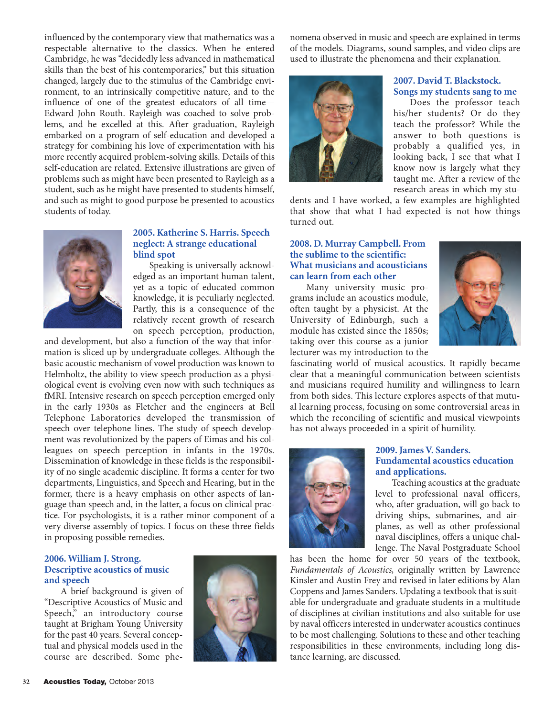influenced by the contemporary view that mathematics was a respectable alternative to the classics. When he entered Cambridge, he was ''decidedly less advanced in mathematical skills than the best of his contemporaries,'' but this situation changed, largely due to the stimulus of the Cambridge environment, to an intrinsically competitive nature, and to the influence of one of the greatest educators of all time— Edward John Routh. Rayleigh was coached to solve problems, and he excelled at this. After graduation, Rayleigh embarked on a program of self‐education and developed a strategy for combining his love of experimentation with his more recently acquired problem‐solving skills. Details of this self‐education are related. Extensive illustrations are given of problems such as might have been presented to Rayleigh as a student, such as he might have presented to students himself, and such as might to good purpose be presented to acoustics students of today.



## **2005. Katherine S. Harris. Speech neglect: A strange educational blind spot**

Speaking is universally acknowledged as an important human talent, yet as a topic of educated common knowledge, it is peculiarly neglected. Partly, this is a consequence of the relatively recent growth of research on speech perception, production,

and development, but also a function of the way that information is sliced up by undergraduate colleges. Although the basic acoustic mechanism of vowel production was known to Helmholtz, the ability to view speech production as a physiological event is evolving even now with such techniques as fMRI. Intensive research on speech perception emerged only in the early 1930s as Fletcher and the engineers at Bell Telephone Laboratories developed the transmission of speech over telephone lines. The study of speech development was revolutionized by the papers of Eimas and his colleagues on speech perception in infants in the 1970s. Dissemination of knowledge in these fields is the responsibility of no single academic discipline. It forms a center for two departments, Linguistics, and Speech and Hearing, but in the former, there is a heavy emphasis on other aspects of language than speech and, in the latter, a focus on clinical practice. For psychologists, it is a rather minor component of a very diverse assembly of topics. I focus on these three fields in proposing possible remedies.

## **2006. William J. Strong. Descriptive acoustics of music and speech**

A brief background is given of ''Descriptive Acoustics of Music and Speech," an introductory course taught at Brigham Young University for the past 40 years. Several conceptual and physical models used in the course are described. Some phe-



nomena observed in music and speech are explained in terms of the models. Diagrams, sound samples, and video clips are used to illustrate the phenomena and their explanation.



# **2007. David T. Blackstock. Songs my students sang to me**

Does the professor teach his/her students? Or do they teach the professor? While the answer to both questions is probably a qualified yes, in looking back, I see that what I know now is largely what they taught me. After a review of the research areas in which my stu-

dents and I have worked, a few examples are highlighted that show that what I had expected is not how things turned out.

# **2008. D. Murray Campbell. From the sublime to the scientific: What musicians and acousticians can learn from each other**

Many university music programs include an acoustics module, often taught by a physicist. At the University of Edinburgh, such a module has existed since the 1850s; taking over this course as a junior lecturer was my introduction to the



fascinating world of musical acoustics. It rapidly became clear that a meaningful communication between scientists and musicians required humility and willingness to learn from both sides. This lecture explores aspects of that mutual learning process, focusing on some controversial areas in which the reconciling of scientific and musical viewpoints has not always proceeded in a spirit of humility.



# **2009. James V. Sanders. Fundamental acoustics education and applications.**

Teaching acoustics at the graduate level to professional naval officers, who, after graduation, will go back to driving ships, submarines, and airplanes, as well as other professional naval disciplines, offers a unique challenge. The Naval Postgraduate School

has been the home for over 50 years of the textbook, *Fundamentals of Acoustics*, originally written by Lawrence Kinsler and Austin Frey and revised in later editions by Alan Coppens and James Sanders. Updating a textbook that is suitable for undergraduate and graduate students in a multitude of disciplines at civilian institutions and also suitable for use by naval officers interested in underwater acoustics continues to be most challenging. Solutions to these and other teaching responsibilities in these environments, including long distance learning, are discussed.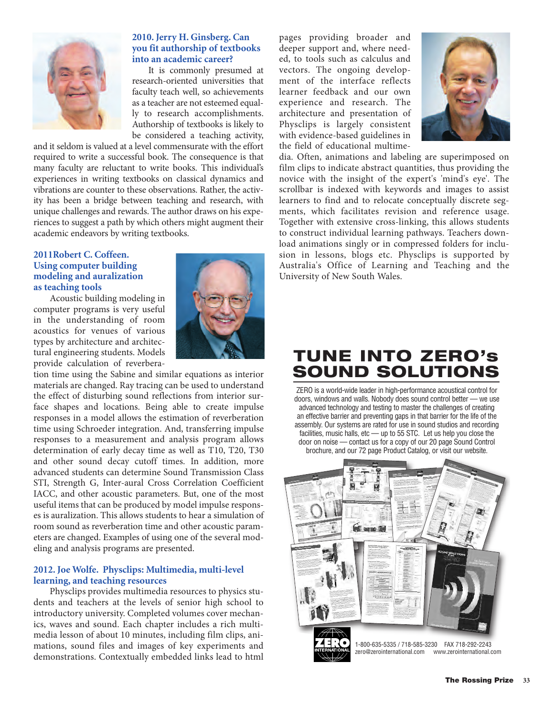

# **2010. Jerry H. Ginsberg. Can you fit authorship of textbooks into an academic career?**

It is commonly presumed at research‐oriented universities that faculty teach well, so achievements as a teacher are not esteemed equally to research accomplishments. Authorship of textbooks is likely to be considered a teaching activity,

and it seldom is valued at a level commensurate with the effort required to write a successful book. The consequence is that many faculty are reluctant to write books. This individual's experiences in writing textbooks on classical dynamics and vibrations are counter to these observations. Rather, the activity has been a bridge between teaching and research, with unique challenges and rewards. The author draws on his experiences to suggest a path by which others might augment their academic endeavors by writing textbooks.

# **2011Robert C. Coffeen. Using computer building modeling and auralization as teaching tools**

Acoustic building modeling in computer programs is very useful in the understanding of room acoustics for venues of various types by architecture and architectural engineering students. Models provide calculation of reverbera-

tion time using the Sabine and similar equations as interior materials are changed. Ray tracing can be used to understand the effect of disturbing sound reflections from interior surface shapes and locations. Being able to create impulse responses in a model allows the estimation of reverberation time using Schroeder integration. And, transferring impulse responses to a measurement and analysis program allows determination of early decay time as well as T10, T20, T30 and other sound decay cutoff times. In addition, more advanced students can determine Sound Transmission Class STI, Strength G, Inter-aural Cross Correlation Coefficient IACC, and other acoustic parameters. But, one of the most useful items that can be produced by model impulse responses is auralization. This allows students to hear a simulation of room sound as reverberation time and other acoustic parameters are changed. Examples of using one of the several modeling and analysis programs are presented.

# **2012. Joe Wolfe. Physclips: Multimedia, multi-level learning, and teaching resources**

Physclips provides multimedia resources to physics students and teachers at the levels of senior high school to introductory university. Completed volumes cover mechanics, waves and sound. Each chapter includes a rich multimedia lesson of about 10 minutes, including film clips, animations, sound files and images of key experiments and demonstrations. Contextually embedded links lead to html

pages providing broader and deeper support and, where needed, to tools such as calculus and vectors. The ongoing development of the interface reflects learner feedback and our own experience and research. The architecture and presentation of Physclips is largely consistent with evidence-based guidelines in the field of educational multime-



dia. Often, animations and labeling are superimposed on film clips to indicate abstract quantities, thus providing the novice with the insight of the expert's 'mind's eye'. The scrollbar is indexed with keywords and images to assist learners to find and to relocate conceptually discrete segments, which facilitates revision and reference usage. Together with extensive cross-linking, this allows students to construct individual learning pathways. Teachers download animations singly or in compressed folders for inclusion in lessons, blogs etc. Physclips is supported by Australia's Office of Learning and Teaching and the University of New South Wales.

# **TUNE INTO ZERO's SOUND SOLUTIONS**

ZERO is a world-wide leader in high-performance acoustical control for doors, windows and walls. Nobody does sound control better — we use advanced technology and testing to master the challenges of creating an effective barrier and preventing gaps in that barrier for the life of the assembly. Our systems are rated for use in sound studios and recording facilities, music halls, etc - up to 55 STC. Let us help you close the door on noise — contact us for a copy of our 20 page Sound Control brochure, and our 72 page Product Catalog, or visit our website.